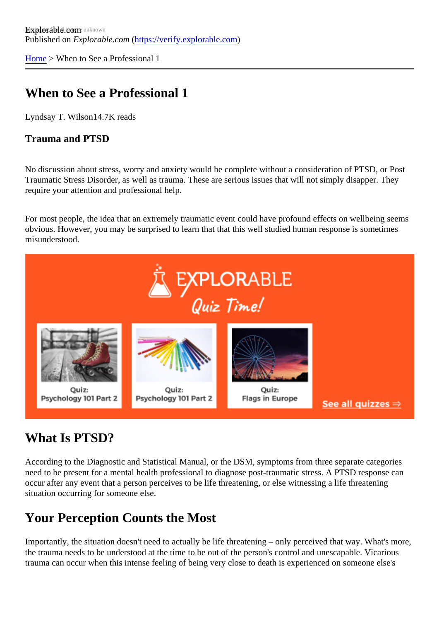[Home](https://verify.explorable.com/) > When to See a Professional 1

# When to See a Professional 1

Lyndsay T. Wilson4.7K reads

Trauma and PTSD

No discussion about stress, worry and anxiety would be complete without a consideration of PTSD, or Post Traumatic Stress Disorder, as well as trauma. These are serious issues that will not simply disapper. They require your attention and professional help.

For most people, the idea that an extremely traumatic event could have profound effects on wellbeing see obvious. However, you may be surprised to learn that that this well studied human response is sometimes misunderstood.

#### What Is PTSD?

According to the Diagnostic and Statistical Manual, or the DSM, symptoms from three separate categories need to be present for a mental health professional to diagnose post-traumatic stress. A PTSD response of occur after any event that a person perceives to be life threatening, or else witnessing a life threatening situation occurring for someone else.

#### Your Perception Counts the Most

Importantly, the situation doesn't need to actually be life threatening – only perceived that way. What's mo the trauma needs to be understood at the time to be out of the person's control and unescapable. Vicariou trauma can occur when this intense feeling of being very close to death is experienced on someone else's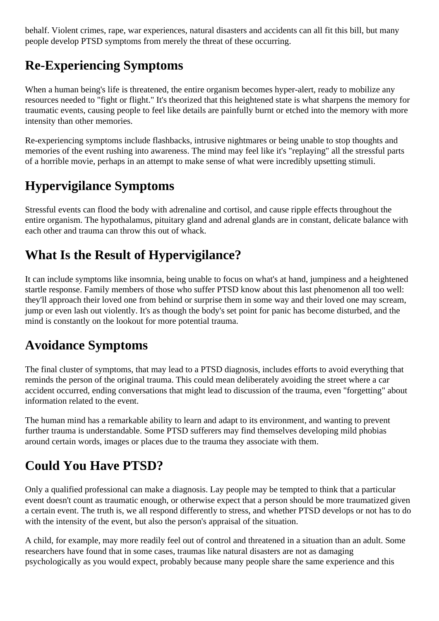behalf. Violent crimes, rape, war experiences, natural disasters and accidents can all fit this bill, but many people develop PTSD symptoms from merely the threat of these occurring.

# **Re-Experiencing Symptoms**

When a human being's life is threatened, the entire organism becomes hyper-alert, ready to mobilize any resources needed to "fight or flight." It's theorized that this heightened state is what sharpens the memory for traumatic events, causing people to feel like details are painfully burnt or etched into the memory with more intensity than other memories.

Re-experiencing symptoms include flashbacks, intrusive nightmares or being unable to stop thoughts and memories of the event rushing into awareness. The mind may feel like it's "replaying" all the stressful parts of a horrible movie, perhaps in an attempt to make sense of what were incredibly upsetting stimuli.

# **Hypervigilance Symptoms**

Stressful events can flood the body with adrenaline and cortisol, and cause ripple effects throughout the entire organism. The hypothalamus, pituitary gland and adrenal glands are in constant, delicate balance with each other and trauma can throw this out of whack.

# **What Is the Result of Hypervigilance?**

It can include symptoms like insomnia, being unable to focus on what's at hand, jumpiness and a heightened startle response. Family members of those who suffer PTSD know about this last phenomenon all too well: they'll approach their loved one from behind or surprise them in some way and their loved one may scream, jump or even lash out violently. It's as though the body's set point for panic has become disturbed, and the mind is constantly on the lookout for more potential trauma.

#### **Avoidance Symptoms**

The final cluster of symptoms, that may lead to a PTSD diagnosis, includes efforts to avoid everything that reminds the person of the original trauma. This could mean deliberately avoiding the street where a car accident occurred, ending conversations that might lead to discussion of the trauma, even "forgetting" about information related to the event.

The human mind has a remarkable ability to learn and adapt to its environment, and wanting to prevent further trauma is understandable. Some PTSD sufferers may find themselves developing mild phobias around certain words, images or places due to the trauma they associate with them.

# **Could You Have PTSD?**

Only a qualified professional can make a diagnosis. Lay people may be tempted to think that a particular event doesn't count as traumatic enough, or otherwise expect that a person should be more traumatized given a certain event. The truth is, we all respond differently to stress, and whether PTSD develops or not has to do with the intensity of the event, but also the person's appraisal of the situation.

A child, for example, may more readily feel out of control and threatened in a situation than an adult. Some researchers have found that in some cases, traumas like natural disasters are not as damaging psychologically as you would expect, probably because many people share the same experience and this